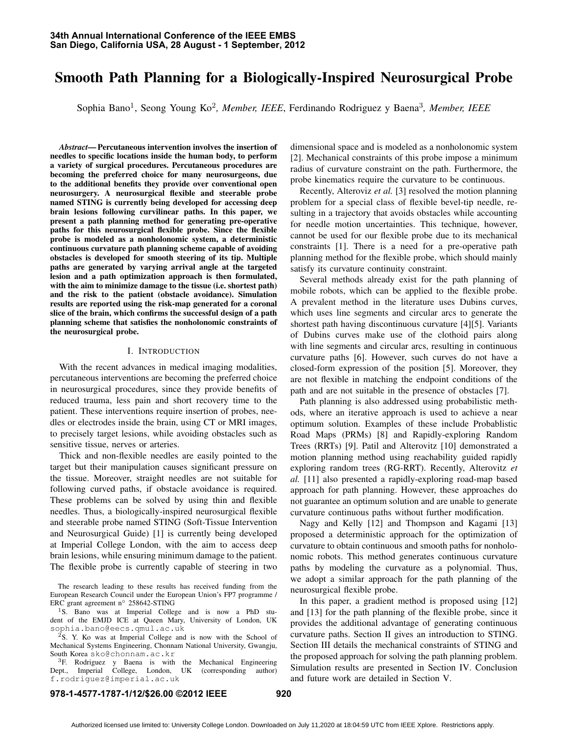# Smooth Path Planning for a Biologically-Inspired Neurosurgical Probe

Sophia Bano<sup>1</sup>, Seong Young Ko<sup>2</sup>, Member, IEEE, Ferdinando Rodriguez y Baena<sup>3</sup>, Member, IEEE

*Abstract*— Percutaneous intervention involves the insertion of needles to specific locations inside the human body, to perform a variety of surgical procedures. Percutaneous procedures are becoming the preferred choice for many neurosurgeons, due to the additional benefits they provide over conventional open neurosurgery. A neurosurgical flexible and steerable probe named STING is currently being developed for accessing deep brain lesions following curvilinear paths. In this paper, we present a path planning method for generating pre-operative paths for this neurosurgical flexible probe. Since the flexible probe is modeled as a nonholonomic system, a deterministic continuous curvature path planning scheme capable of avoiding obstacles is developed for smooth steering of its tip. Multiple paths are generated by varying arrival angle at the targeted lesion and a path optimization approach is then formulated, with the aim to minimize damage to the tissue (i.e. shortest path) and the risk to the patient (obstacle avoidance). Simulation results are reported using the risk-map generated for a coronal slice of the brain, which confirms the successful design of a path planning scheme that satisfies the nonholonomic constraints of the neurosurgical probe.

#### I. INTRODUCTION

With the recent advances in medical imaging modalities, percutaneous interventions are becoming the preferred choice in neurosurgical procedures, since they provide benefits of reduced trauma, less pain and short recovery time to the patient. These interventions require insertion of probes, needles or electrodes inside the brain, using CT or MRI images, to precisely target lesions, while avoiding obstacles such as sensitive tissue, nerves or arteries.

Thick and non-flexible needles are easily pointed to the target but their manipulation causes significant pressure on the tissue. Moreover, straight needles are not suitable for following curved paths, if obstacle avoidance is required. These problems can be solved by using thin and flexible needles. Thus, a biologically-inspired neurosurgical flexible and steerable probe named STING (Soft-Tissue Intervention and Neurosurgical Guide) [1] is currently being developed at Imperial College London, with the aim to access deep brain lesions, while ensuring minimum damage to the patient. The flexible probe is currently capable of steering in two

The research leading to these results has received funding from the European Research Council under the European Union's FP7 programme / ERC grant agreement n*◦* 258642-STING

<sup>1</sup>S. Bano was at Imperial College and is now a PhD student of the EMJD ICE at Queen Mary, University of London, UK sophia.bano@eecs.qmul.ac.uk

<sup>2</sup>S. Y. Ko was at Imperial College and is now with the School of Mechanical Systems Engineering, Chonnam National University, Gwangju, South Korea sko@chonnam.ac.kr

<sup>3</sup>F. Rodriguez y Baena is with the Mechanical Engineering Dept., Imperial College, London, UK (corresponding author) f.rodriguez@imperial.ac.uk

dimensional space and is modeled as a nonholonomic system [2]. Mechanical constraints of this probe impose a minimum radius of curvature constraint on the path. Furthermore, the probe kinematics require the curvature to be continuous.

Recently, Alteroviz *et al.* [3] resolved the motion planning problem for a special class of flexible bevel-tip needle, resulting in a trajectory that avoids obstacles while accounting for needle motion uncertainties. This technique, however, cannot be used for our flexible probe due to its mechanical constraints [1]. There is a need for a pre-operative path planning method for the flexible probe, which should mainly satisfy its curvature continuity constraint.

Several methods already exist for the path planning of mobile robots, which can be applied to the flexible probe. A prevalent method in the literature uses Dubins curves, which uses line segments and circular arcs to generate the shortest path having discontinuous curvature [4][5]. Variants of Dubins curves make use of the clothoid pairs along with line segments and circular arcs, resulting in continuous curvature paths [6]. However, such curves do not have a closed-form expression of the position [5]. Moreover, they are not flexible in matching the endpoint conditions of the path and are not suitable in the presence of obstacles [7].

Path planning is also addressed using probabilistic methods, where an iterative approach is used to achieve a near optimum solution. Examples of these include Probablistic Road Maps (PRMs) [8] and Rapidly-exploring Random Trees (RRTs) [9]. Patil and Alterovitz [10] demonstrated a motion planning method using reachability guided rapidly exploring random trees (RG-RRT). Recently, Alterovitz *et al.* [11] also presented a rapidly-exploring road-map based approach for path planning. However, these approaches do not guarantee an optimum solution and are unable to generate curvature continuous paths without further modification.

Nagy and Kelly [12] and Thompson and Kagami [13] proposed a deterministic approach for the optimization of curvature to obtain continuous and smooth paths for nonholonomic robots. This method generates continuous curvature paths by modeling the curvature as a polynomial. Thus, we adopt a similar approach for the path planning of the neurosurgical flexible probe.

In this paper, a gradient method is proposed using [12] and [13] for the path planning of the flexible probe, since it provides the additional advantage of generating continuous curvature paths. Section II gives an introduction to STING. Section III details the mechanical constraints of STING and the proposed approach for solving the path planning problem. Simulation results are presented in Section IV. Conclusion and future work are detailed in Section V.

## **978-1-4577-1787-1/12/\$26.00 ©2012 IEEE 920**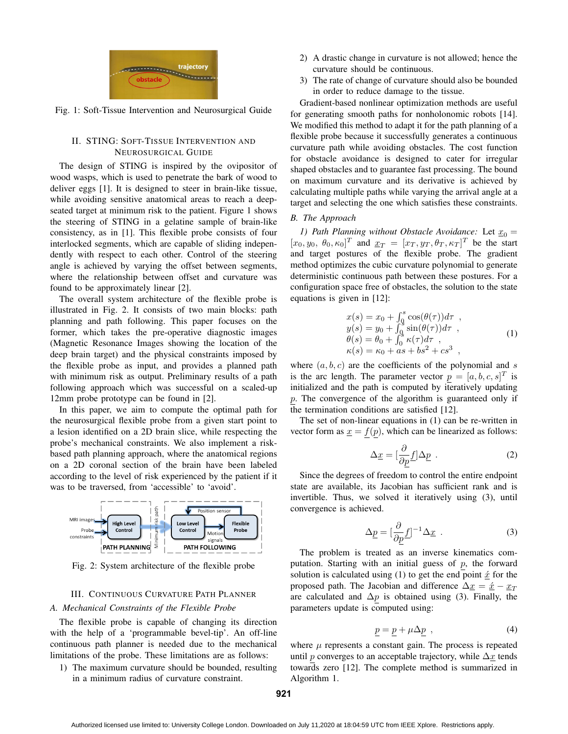

Fig. 1: Soft-Tissue Intervention and Neurosurgical Guide

# II. STING: SOFT-TISSUE INTERVENTION AND NEUROSURGICAL GUIDE

The design of STING is inspired by the ovipositor of wood wasps, which is used to penetrate the bark of wood to deliver eggs [1]. It is designed to steer in brain-like tissue, while avoiding sensitive anatomical areas to reach a deepseated target at minimum risk to the patient. Figure 1 shows the steering of STING in a gelatine sample of brain-like consistency, as in [1]. This flexible probe consists of four interlocked segments, which are capable of sliding independently with respect to each other. Control of the steering angle is achieved by varying the offset between segments, where the relationship between offset and curvature was found to be approximately linear [2].

The overall system architecture of the flexible probe is illustrated in Fig. 2. It consists of two main blocks: path planning and path following. This paper focuses on the former, which takes the pre-operative diagnostic images (Magnetic Resonance Images showing the location of the deep brain target) and the physical constraints imposed by the flexible probe as input, and provides a planned path with minimum risk as output. Preliminary results of a path following approach which was successful on a scaled-up 12mm probe prototype can be found in [2].

In this paper, we aim to compute the optimal path for the neurosurgical flexible probe from a given start point to a lesion identified on a 2D brain slice, while respecting the probe's mechanical constraints. We also implement a riskbased path planning approach, where the anatomical regions on a 2D coronal section of the brain have been labeled according to the level of risk experienced by the patient if it was to be traversed, from 'accessible' to 'avoid'.



Fig. 2: System architecture of the flexible probe

# III. CONTINUOUS CURVATURE PATH PLANNER

# *A. Mechanical Constraints of the Flexible Probe*

The flexible probe is capable of changing its direction with the help of a 'programmable bevel-tip'. An off-line continuous path planner is needed due to the mechanical limitations of the probe. These limitations are as follows:

1) The maximum curvature should be bounded, resulting in a minimum radius of curvature constraint.

- 2) A drastic change in curvature is not allowed; hence the curvature should be continuous.
- 3) The rate of change of curvature should also be bounded in order to reduce damage to the tissue.

Gradient-based nonlinear optimization methods are useful for generating smooth paths for nonholonomic robots [14]. We modified this method to adapt it for the path planning of a flexible probe because it successfully generates a continuous curvature path while avoiding obstacles. The cost function for obstacle avoidance is designed to cater for irregular shaped obstacles and to guarantee fast processing. The bound on maximum curvature and its derivative is achieved by calculating multiple paths while varying the arrival angle at a target and selecting the one which satisfies these constraints.

# *B. The Approach*

*1) Path Planning without Obstacle Avoidance:* Let  $x_0 =$  $[x_0, y_0, \theta_0, \kappa_0]^T$  and  $\underline{x}_T = [x_T, y_T, \theta_T, \kappa_T]^T$  be the start and target postures of the flexible probe. The gradient method optimizes the cubic curvature polynomial to generate deterministic continuous path between these postures. For a configuration space free of obstacles, the solution to the state equations is given in [12]:

$$
x(s) = x_0 + \int_0^s \cos(\theta(\tau)) d\tau ,
$$
  
\n
$$
y(s) = y_0 + \int_0^s \sin(\theta(\tau)) d\tau ,
$$
  
\n
$$
\theta(s) = \theta_0 + \int_0^s \kappa(\tau) d\tau ,
$$
  
\n
$$
\kappa(s) = \kappa_0 + as + bs^2 + cs^3 ,
$$
\n(1)

where  $(a, b, c)$  are the coefficients of the polynomial and *s* is the arc length. The parameter vector  $p = [a, b, c, s]^T$  is initialized and the path is computed by iteratively updating *p*. The convergence of the algorithm is guaranteed only if the termination conditions are satisfied [12].

The set of non-linear equations in (1) can be re-written in vector form as  $\underline{x} = f(p)$ , which can be linearized as follows:

$$
\Delta \underline{x} = [\frac{\partial}{\partial p} \underline{f}] \Delta \underline{p} . \tag{2}
$$

Since the degrees of freedom to control the entire endpoint state are available, its Jacobian has sufficient rank and is invertible. Thus, we solved it iteratively using (3), until convergence is achieved.

$$
\Delta \underline{p} = [\frac{\partial}{\partial \underline{p}} \underline{f}]^{-1} \Delta \underline{x} . \tag{3}
$$

The problem is treated as an inverse kinematics computation. Starting with an initial guess of *p*, the forward solution is calculated using (1) to get the end point  $\hat{x}$  for the proposed path. The Jacobian and difference  $\Delta x = \hat{x} - x_T$ are calculated and  $\Delta p$  is obtained using (3). Finally, the parameters update is computed using:

$$
\underline{p} = \underline{p} + \mu \Delta \underline{p} \quad , \tag{4}
$$

where  $\mu$  represents a constant gain. The process is repeated until *p* converges to an acceptable trajectory, while ∆*x* tends towards zero [12]. The complete method is summarized in Algorithm 1.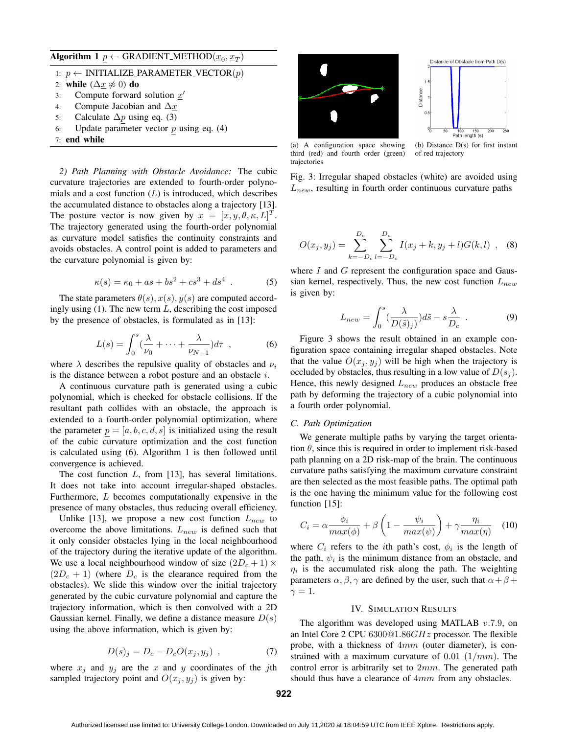$\mathbf{Algorithm} \mathbf{1} \underline{p} \leftarrow \text{GRAPHOD}(\underline{x}_0, \underline{x}_T)$ 

1: *p ←* INITIALIZE PARAMETER VECTOR(*p*)

2: **while**  $(\Delta x \not\approx 0)$  **do**<br>3: Compute forward

- 3: Compute forward solution *x ′*
- 4: Compute Jacobian and ∆*x*
- 5: Calculate ∆*p* using eq. (3)
- 6: Update parameter vector *p* using eq. (4)
- 7: end while

*2) Path Planning with Obstacle Avoidance:* The cubic curvature trajectories are extended to fourth-order polynomials and a cost function (*L*) is introduced, which describes the accumulated distance to obstacles along a trajectory [13]. The posture vector is now given by  $\underline{x} = [x, y, \theta, \kappa, L]^T$ . The trajectory generated using the fourth-order polynomial as curvature model satisfies the continuity constraints and avoids obstacles. A control point is added to parameters and the curvature polynomial is given by:

$$
\kappa(s) = \kappa_0 + as + bs^2 + cs^3 + ds^4 \tag{5}
$$

The state parameters  $\theta(s)$ ,  $x(s)$ ,  $y(s)$  are computed accordingly using (1). The new term *L*, describing the cost imposed by the presence of obstacles, is formulated as in [13]:

$$
L(s) = \int_0^s \left(\frac{\lambda}{\nu_0} + \dots + \frac{\lambda}{\nu_{N-1}}\right) d\tau , \qquad (6)
$$

where  $\lambda$  describes the repulsive quality of obstacles and  $\nu_i$ is the distance between a robot posture and an obstacle *i*.

A continuous curvature path is generated using a cubic polynomial, which is checked for obstacle collisions. If the resultant path collides with an obstacle, the approach is extended to a fourth-order polynomial optimization, where the parameter  $p = [a, b, c, d, s]$  is initialized using the result of the cubic curvature optimization and the cost function is calculated using (6). Algorithm 1 is then followed until convergence is achieved.

The cost function *L*, from [13], has several limitations. It does not take into account irregular-shaped obstacles. Furthermore, *L* becomes computationally expensive in the presence of many obstacles, thus reducing overall efficiency.

Unlike [13], we propose a new cost function  $L_{new}$  to overcome the above limitations. *Lnew* is defined such that it only consider obstacles lying in the local neighbourhood of the trajectory during the iterative update of the algorithm. We use a local neighbourhood window of size  $(2D_c + 1) \times$  $(2D_c + 1)$  (where  $D_c$  is the clearance required from the obstacles). We slide this window over the initial trajectory generated by the cubic curvature polynomial and capture the trajectory information, which is then convolved with a 2D Gaussian kernel. Finally, we define a distance measure *D*(*s*) using the above information, which is given by:

$$
D(s)_j = D_c - D_c O(x_j, y_j) \tag{7}
$$

where  $x_j$  and  $y_j$  are the *x* and *y* coordinates of the *j*th sampled trajectory point and  $O(x_j, y_j)$  is given by:





(a) A configuration space showing third (red) and fourth order (green) trajectories

of red trajectory

Fig. 3: Irregular shaped obstacles (white) are avoided using *Lnew*, resulting in fourth order continuous curvature paths

$$
O(x_j, y_j) = \sum_{k=-D_c}^{D_c} \sum_{l=-D_c}^{D_c} I(x_j + k, y_j + l) G(k, l) , \quad (8)
$$

where *I* and *G* represent the configuration space and Gaussian kernel, respectively. Thus, the new cost function *Lnew* is given by:

$$
L_{new} = \int_0^s \left(\frac{\lambda}{D(\tilde{s})_j}\right) d\tilde{s} - s \frac{\lambda}{D_c} . \tag{9}
$$

Figure 3 shows the result obtained in an example configuration space containing irregular shaped obstacles. Note that the value  $O(x_j, y_j)$  will be high when the trajectory is occluded by obstacles, thus resulting in a low value of  $D(s_i)$ . Hence, this newly designed *Lnew* produces an obstacle free path by deforming the trajectory of a cubic polynomial into a fourth order polynomial.

#### *C. Path Optimization*

We generate multiple paths by varying the target orientation  $\theta$ , since this is required in order to implement risk-based path planning on a 2D risk-map of the brain. The continuous curvature paths satisfying the maximum curvature constraint are then selected as the most feasible paths. The optimal path is the one having the minimum value for the following cost function [15]:

$$
C_i = \alpha \frac{\phi_i}{\max(\phi)} + \beta \left( 1 - \frac{\psi_i}{\max(\psi)} \right) + \gamma \frac{\eta_i}{\max(\eta)} \quad (10)
$$

where  $C_i$  refers to the *i*th path's cost,  $\phi_i$  is the length of the path,  $\psi_i$  is the minimum distance from an obstacle, and  $\eta$ *i* is the accumulated risk along the path. The weighting parameters  $\alpha$ ,  $\beta$ ,  $\gamma$  are defined by the user, such that  $\alpha + \beta + \beta$  $\gamma=1$ .

#### IV. SIMULATION RESULTS

The algorithm was developed using MATLAB *v.*7*.*9, on an Intel Core 2 CPU 6300@1*.*86*GHz* processor. The flexible probe, with a thickness of 4*mm* (outer diameter), is constrained with a maximum curvature of 0*.*01 (1*/mm*). The control error is arbitrarily set to 2*mm*. The generated path should thus have a clearance of 4*mm* from any obstacles.